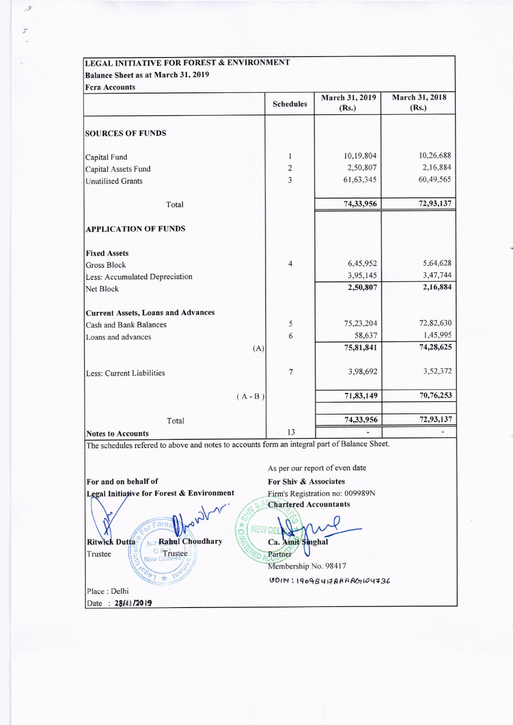## LEGAL INITIATIVE FOR FOREST & ENVIRONMENT Balance Sheet as at March 31, 2019

 $\label{eq:1} \psi_{\mu}$ 

×

| <b>Fcra Accounts</b>                                                                         | <b>Schedules</b>        | March 31, 2019<br>(Rs.)        | March 31, 2018<br>(Rs.) |
|----------------------------------------------------------------------------------------------|-------------------------|--------------------------------|-------------------------|
| <b>SOURCES OF FUNDS</b>                                                                      |                         |                                |                         |
| Capital Fund                                                                                 | 1                       | 10,19,804                      | 10,26,688               |
| Capital Assets Fund                                                                          | $\overline{c}$          | 2,50,807                       | 2,16,884                |
| <b>Unutilised Grants</b>                                                                     | $\overline{\mathbf{3}}$ | 61, 63, 345                    | 60,49,565               |
| Total                                                                                        |                         | 74,33,956                      | 72,93,137               |
| <b>APPLICATION OF FUNDS</b>                                                                  |                         |                                |                         |
| <b>Fixed Assets</b>                                                                          |                         |                                |                         |
| Gross Block                                                                                  | $\overline{4}$          | 6,45,952                       | 5,64,628                |
| Less: Accumulated Depreciation                                                               |                         | 3,95,145                       | 3,47,744                |
| Net Block                                                                                    |                         | 2,50,807                       | 2,16,884                |
| <b>Current Assets, Loans and Advances</b>                                                    |                         |                                |                         |
| Cash and Bank Balances                                                                       | 5                       | 75,23,204                      | 72,82,630               |
| Loans and advances                                                                           | 6                       | 58,637                         | 1,45,995                |
|                                                                                              | (A)                     | 75,81,841                      | 74,28,625               |
| Less: Current Liabilities                                                                    | $\overline{7}$          | 3,98,692                       | 3,52,372                |
|                                                                                              | $(A - B)$               | 71,83,149                      | 70,76,253               |
| Total                                                                                        |                         | 74,33,956                      | 72,93,137               |
| <b>Notes to Accounts</b>                                                                     | 13                      |                                |                         |
| The schedules refered to above and notes to accounts form an integral part of Balance Sheet. |                         |                                |                         |
|                                                                                              |                         | As per our report of even date |                         |

For and on behalf of Legal Initiative for Forest & Environment

N-7 Rabul Choudhary **Ritwick Dutta** G.Kr rustee Trustee

Place : Delhi Date: 28/41/2019

For Shiv & Associates Firm's Registration no: 009989N **Chartered Accountants** 

**NEW DEI** Ca. Amit Singhal U Partner

្ទ

Membership No. 98417  $UDIN$ : 19098417AAAA $OqW4736$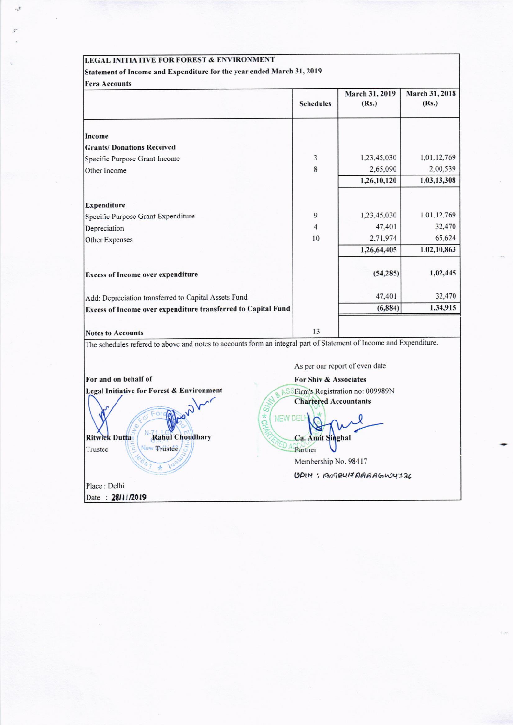#### **LEGAL INITIATIVE FOR FOREST & ENVIRONMENT**

Place : Delhi Date: 28/11/2019

 $\mathbb{R}^2$ 

# Statement of Income and Expenditure for the year ended March 31, 2019

| <b>Fera Accounts</b>                                                                                                       |                                                  |                                    |                         |  |
|----------------------------------------------------------------------------------------------------------------------------|--------------------------------------------------|------------------------------------|-------------------------|--|
|                                                                                                                            | <b>Schedules</b>                                 | March 31, 2019<br>(Rs.)            | March 31, 2018<br>(Rs.) |  |
| Income                                                                                                                     |                                                  |                                    |                         |  |
| <b>Grants/Donations Received</b>                                                                                           |                                                  |                                    |                         |  |
| Specific Purpose Grant Income                                                                                              | 3                                                | 1,23,45,030                        | 1,01,12,769             |  |
| Other Income                                                                                                               | 8                                                | 2,65,090                           | 2,00,539                |  |
|                                                                                                                            |                                                  | 1,26,10,120                        | 1,03,13,308             |  |
| Expenditure                                                                                                                |                                                  |                                    |                         |  |
| Specific Purpose Grant Expenditure                                                                                         | 9                                                | 1,23,45,030                        | 1,01,12,769             |  |
| Depreciation                                                                                                               | 4                                                | 47,401                             | 32,470                  |  |
| Other Expenses                                                                                                             | 10                                               | 2,71,974                           | 65,624                  |  |
|                                                                                                                            |                                                  | 1,26,64,405                        | 1,02,10,863             |  |
| <b>Excess of Income over expenditure</b>                                                                                   |                                                  | (54, 285)                          | 1,02,445                |  |
| Add: Depreciation transferred to Capital Assets Fund                                                                       |                                                  | 47,401                             | 32,470                  |  |
| Excess of Income over expenditure transferred to Capital Fund                                                              |                                                  | (6, 884)                           | 1,34,915                |  |
| <b>Notes to Accounts</b>                                                                                                   | 13                                               |                                    |                         |  |
| The schedules refered to above and notes to accounts form an integral part of Statement of Income and Expenditure.         |                                                  |                                    |                         |  |
|                                                                                                                            | As per our report of even date                   |                                    |                         |  |
| For and on behalf of                                                                                                       | For Shiv & Associates                            |                                    |                         |  |
| Legal Initiative for Forest & Environment<br><b>IO * Skyr</b><br><b>NEW DEL</b><br><b>Rahul Choudhary</b><br>Ritwick Dutta | <b>Chartered Accountants</b><br>Ca. Amit Singhal | ASSEirm's Registration no: 009989N |                         |  |
| New Trustee<br>Trustee                                                                                                     | Partner                                          |                                    |                         |  |
| 7.1                                                                                                                        | Membership No. 98417                             |                                    |                         |  |

UDIN: 190984170AAAGW4736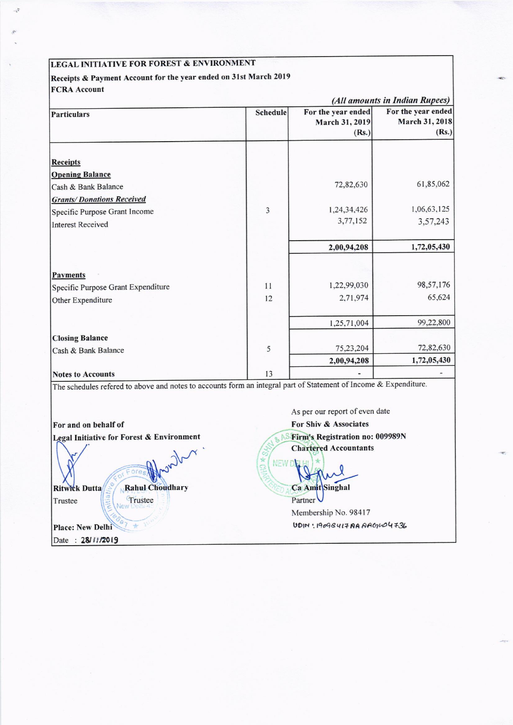# LEGAL INITIATIVE FOR FOREST & ENVIRONMENT

L.

## Receipts & Payment Account for the year ended on 31st March 2019 **FCRA** Account

|                                                                   |          | (All amounts in Indian Rupees)                |                                               |  |
|-------------------------------------------------------------------|----------|-----------------------------------------------|-----------------------------------------------|--|
| Particulars                                                       | Schedule | For the year ended<br>March 31, 2019<br>(Rs.) | For the year ended<br>March 31, 2018<br>(Rs.) |  |
| <b>Receipts</b>                                                   |          |                                               |                                               |  |
| <b>Opening Balance</b>                                            |          | 72,82,630                                     | 61,85,062                                     |  |
| Cash & Bank Balance                                               |          |                                               |                                               |  |
| <b>Grants/Donations Received</b><br>Specific Purpose Grant Income | 3        | 1,24,34,426                                   | 1,06,63,125                                   |  |
| <b>Interest Received</b>                                          |          | 3,77,152                                      | 3,57,243                                      |  |
|                                                                   |          |                                               |                                               |  |
|                                                                   |          | 2,00,94,208                                   | 1,72,05,430                                   |  |
|                                                                   |          |                                               |                                               |  |
| Payments                                                          |          |                                               |                                               |  |
| Specific Purpose Grant Expenditure                                | 11       | 1,22,99,030                                   | 98,57,176                                     |  |
| Other Expenditure                                                 | 12       | 2,71,974                                      | 65,624                                        |  |
|                                                                   |          | 1,25,71,004                                   | 99,22,800                                     |  |
| <b>Closing Balance</b>                                            |          |                                               |                                               |  |
| Cash & Bank Balance                                               | 5        | 75,23,204                                     | 72,82,630                                     |  |
|                                                                   |          | 2,00,94,208                                   | 1,72,05,430                                   |  |
| <b>Notes to Accounts</b>                                          | 13       |                                               |                                               |  |

The schedules refered to above and notes to accounts form an

 $W^{\prime}$ 

Rahul Choudhary

For and on behalf of Legal Initiative for Forest & Environment

**Ritwick Dutta** Trustee

Trustee

Place: New Delhi Date: 28/11/2019

As per our report of even date For Shiv & Associates **S Firm's Registration no: 009989N Chartered Accountants** 

NEW D Ca Amit Singhal

Partner Membership No. 98417 UDIN: 19098417AAAAGNO4736